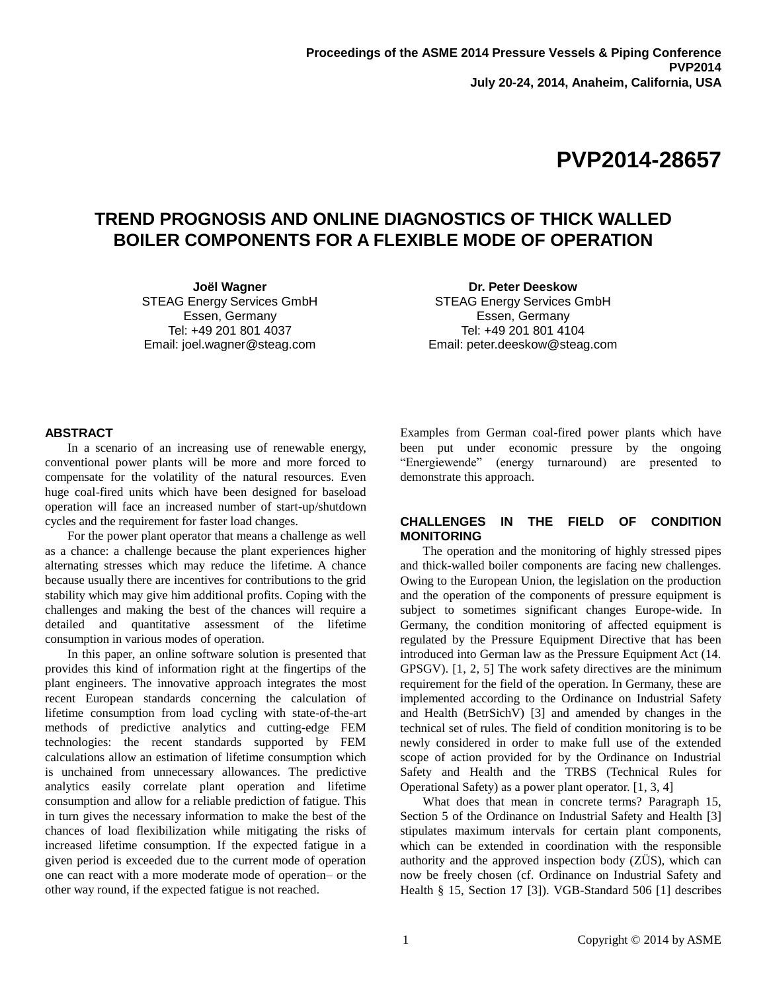# **TREND PROGNOSIS AND ONLINE DIAGNOSTICS OF THICK WALLED BOILER COMPONENTS FOR A FLEXIBLE MODE OF OPERATION**

**Joël Wagner** STEAG Energy Services GmbH Essen, Germany Tel: +49 201 801 4037 Email: joel.wagner@steag.com

**Dr. Peter Deeskow** STEAG Energy Services GmbH Essen, Germany Tel: +49 201 801 4104 Email: peter.deeskow@steag.com

## **ABSTRACT**

In a scenario of an increasing use of renewable energy, conventional power plants will be more and more forced to compensate for the volatility of the natural resources. Even huge coal-fired units which have been designed for baseload operation will face an increased number of start-up/shutdown cycles and the requirement for faster load changes.

For the power plant operator that means a challenge as well as a chance: a challenge because the plant experiences higher alternating stresses which may reduce the lifetime. A chance because usually there are incentives for contributions to the grid stability which may give him additional profits. Coping with the challenges and making the best of the chances will require a detailed and quantitative assessment of the lifetime consumption in various modes of operation.

In this paper, an online software solution is presented that provides this kind of information right at the fingertips of the plant engineers. The innovative approach integrates the most recent European standards concerning the calculation of lifetime consumption from load cycling with state-of-the-art methods of predictive analytics and cutting-edge FEM technologies: the recent standards supported by FEM calculations allow an estimation of lifetime consumption which is unchained from unnecessary allowances. The predictive analytics easily correlate plant operation and lifetime consumption and allow for a reliable prediction of fatigue. This in turn gives the necessary information to make the best of the chances of load flexibilization while mitigating the risks of increased lifetime consumption. If the expected fatigue in a given period is exceeded due to the current mode of operation one can react with a more moderate mode of operation– or the other way round, if the expected fatigue is not reached.

Examples from German coal-fired power plants which have been put under economic pressure by the ongoing "Energiewende" (energy turnaround) are presented to demonstrate this approach.

## **CHALLENGES IN THE FIELD OF CONDITION MONITORING**

The operation and the monitoring of highly stressed pipes and thick-walled boiler components are facing new challenges. Owing to the European Union, the legislation on the production and the operation of the components of pressure equipment is subject to sometimes significant changes Europe-wide. In Germany, the condition monitoring of affected equipment is regulated by the Pressure Equipment Directive that has been introduced into German law as the Pressure Equipment Act (14. GPSGV). [1, 2, 5] The work safety directives are the minimum requirement for the field of the operation. In Germany, these are implemented according to the Ordinance on Industrial Safety and Health (BetrSichV) [3] and amended by changes in the technical set of rules. The field of condition monitoring is to be newly considered in order to make full use of the extended scope of action provided for by the Ordinance on Industrial Safety and Health and the TRBS (Technical Rules for Operational Safety) as a power plant operator. [1, 3, 4]

What does that mean in concrete terms? Paragraph 15, Section 5 of the Ordinance on Industrial Safety and Health [3] stipulates maximum intervals for certain plant components, which can be extended in coordination with the responsible authority and the approved inspection body (ZÜS), which can now be freely chosen (cf. Ordinance on Industrial Safety and Health § 15, Section 17 [3]). VGB-Standard 506 [1] describes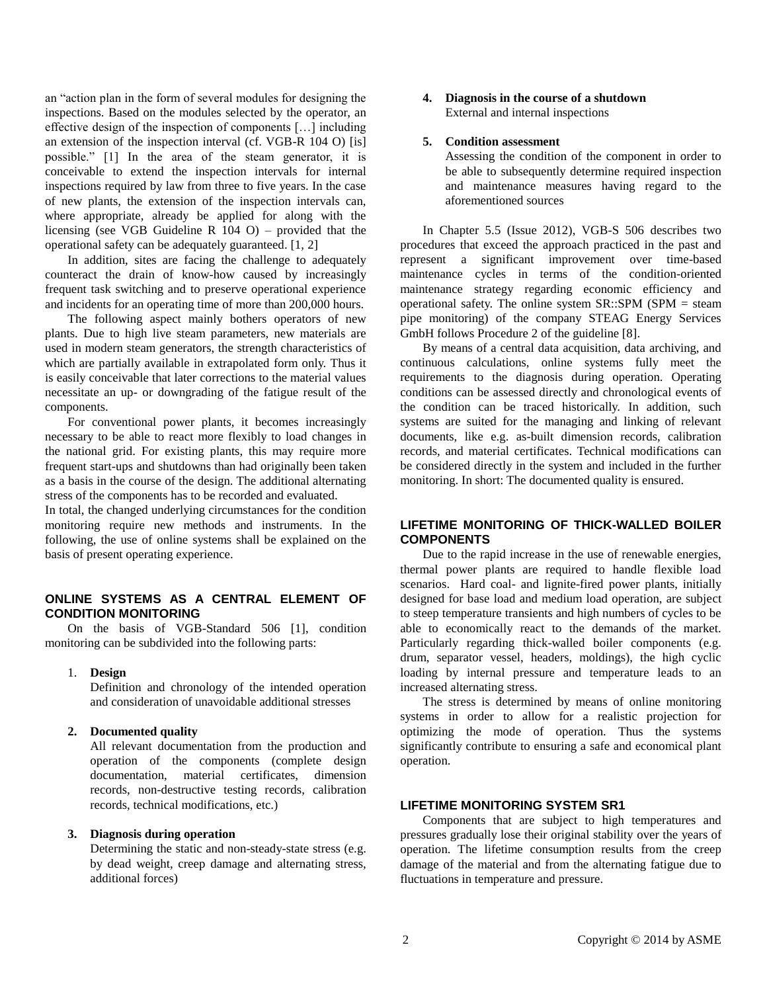an "action plan in the form of several modules for designing the inspections. Based on the modules selected by the operator, an effective design of the inspection of components […] including an extension of the inspection interval (cf. VGB-R 104 O) [is] possible." [1] In the area of the steam generator, it is conceivable to extend the inspection intervals for internal inspections required by law from three to five years. In the case of new plants, the extension of the inspection intervals can, where appropriate, already be applied for along with the licensing (see VGB Guideline R 104 O) – provided that the operational safety can be adequately guaranteed. [1, 2]

In addition, sites are facing the challenge to adequately counteract the drain of know-how caused by increasingly frequent task switching and to preserve operational experience and incidents for an operating time of more than 200,000 hours.

The following aspect mainly bothers operators of new plants. Due to high live steam parameters, new materials are used in modern steam generators, the strength characteristics of which are partially available in extrapolated form only. Thus it is easily conceivable that later corrections to the material values necessitate an up- or downgrading of the fatigue result of the components.

For conventional power plants, it becomes increasingly necessary to be able to react more flexibly to load changes in the national grid. For existing plants, this may require more frequent start-ups and shutdowns than had originally been taken as a basis in the course of the design. The additional alternating stress of the components has to be recorded and evaluated.

In total, the changed underlying circumstances for the condition monitoring require new methods and instruments. In the following, the use of online systems shall be explained on the basis of present operating experience.

# **ONLINE SYSTEMS AS A CENTRAL ELEMENT OF CONDITION MONITORING**

On the basis of VGB-Standard 506 [1], condition monitoring can be subdivided into the following parts:

1. **Design**

Definition and chronology of the intended operation and consideration of unavoidable additional stresses

**2. Documented quality**

All relevant documentation from the production and operation of the components (complete design documentation, material certificates, dimension records, non-destructive testing records, calibration records, technical modifications, etc.)

## **3. Diagnosis during operation**

Determining the static and non-steady-state stress (e.g. by dead weight, creep damage and alternating stress, additional forces)

## **4. Diagnosis in the course of a shutdown** External and internal inspections

## **5. Condition assessment**

Assessing the condition of the component in order to be able to subsequently determine required inspection and maintenance measures having regard to the aforementioned sources

In Chapter 5.5 (Issue 2012), VGB-S 506 describes two procedures that exceed the approach practiced in the past and represent a significant improvement over time-based maintenance cycles in terms of the condition-oriented maintenance strategy regarding economic efficiency and operational safety. The online system SR::SPM (SPM = steam pipe monitoring) of the company STEAG Energy Services GmbH follows Procedure 2 of the guideline [8].

By means of a central data acquisition, data archiving, and continuous calculations, online systems fully meet the requirements to the diagnosis during operation. Operating conditions can be assessed directly and chronological events of the condition can be traced historically. In addition, such systems are suited for the managing and linking of relevant documents, like e.g. as-built dimension records, calibration records, and material certificates. Technical modifications can be considered directly in the system and included in the further monitoring. In short: The documented quality is ensured.

# **LIFETIME MONITORING OF THICK-WALLED BOILER COMPONENTS**

Due to the rapid increase in the use of renewable energies, thermal power plants are required to handle flexible load scenarios. Hard coal- and lignite-fired power plants, initially designed for base load and medium load operation, are subject to steep temperature transients and high numbers of cycles to be able to economically react to the demands of the market. Particularly regarding thick-walled boiler components (e.g. drum, separator vessel, headers, moldings), the high cyclic loading by internal pressure and temperature leads to an increased alternating stress.

The stress is determined by means of online monitoring systems in order to allow for a realistic projection for optimizing the mode of operation. Thus the systems significantly contribute to ensuring a safe and economical plant operation.

# **LIFETIME MONITORING SYSTEM SR1**

Components that are subject to high temperatures and pressures gradually lose their original stability over the years of operation. The lifetime consumption results from the creep damage of the material and from the alternating fatigue due to fluctuations in temperature and pressure.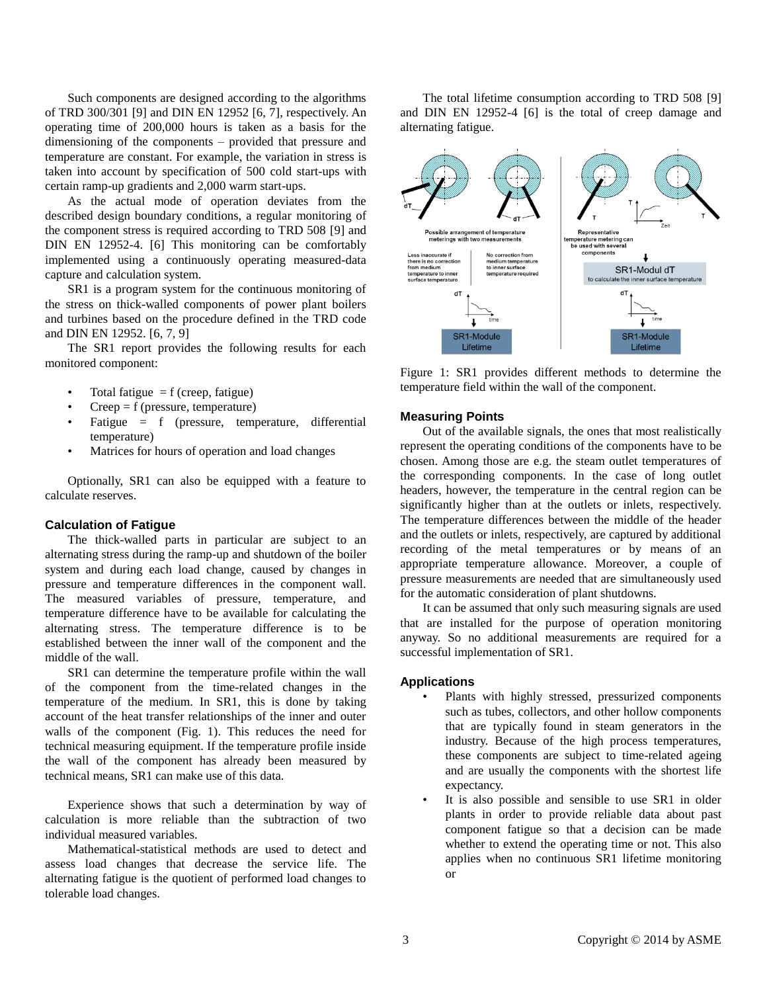Such components are designed according to the algorithms of TRD 300/301 [9] and DIN EN 12952 [6, 7], respectively. An operating time of 200,000 hours is taken as a basis for the dimensioning of the components – provided that pressure and temperature are constant. For example, the variation in stress is taken into account by specification of 500 cold start-ups with certain ramp-up gradients and 2,000 warm start-ups.

As the actual mode of operation deviates from the described design boundary conditions, a regular monitoring of the component stress is required according to TRD 508 [9] and DIN EN 12952-4. [6] This monitoring can be comfortably implemented using a continuously operating measured-data capture and calculation system.

SR1 is a program system for the continuous monitoring of the stress on thick-walled components of power plant boilers and turbines based on the procedure defined in the TRD code and DIN EN 12952. [6, 7, 9]

The SR1 report provides the following results for each monitored component:

- Total fatigue  $= f$  (creep, fatigue)
- $Creep = f$  (pressure, temperature)
- Fatigue = f (pressure, temperature, differential temperature)
- Matrices for hours of operation and load changes

Optionally, SR1 can also be equipped with a feature to calculate reserves.

#### **Calculation of Fatigue**

The thick-walled parts in particular are subject to an alternating stress during the ramp-up and shutdown of the boiler system and during each load change, caused by changes in pressure and temperature differences in the component wall. The measured variables of pressure, temperature, and temperature difference have to be available for calculating the alternating stress. The temperature difference is to be established between the inner wall of the component and the middle of the wall.

SR1 can determine the temperature profile within the wall of the component from the time-related changes in the temperature of the medium. In SR1, this is done by taking account of the heat transfer relationships of the inner and outer walls of the component (Fig. 1). This reduces the need for technical measuring equipment. If the temperature profile inside the wall of the component has already been measured by technical means, SR1 can make use of this data.

Experience shows that such a determination by way of calculation is more reliable than the subtraction of two individual measured variables.

Mathematical-statistical methods are used to detect and assess load changes that decrease the service life. The alternating fatigue is the quotient of performed load changes to tolerable load changes.

The total lifetime consumption according to TRD 508 [9] and DIN EN 12952-4 [6] is the total of creep damage and alternating fatigue.



Figure 1: SR1 provides different methods to determine the temperature field within the wall of the component.

#### **Measuring Points**

Out of the available signals, the ones that most realistically represent the operating conditions of the components have to be chosen. Among those are e.g. the steam outlet temperatures of the corresponding components. In the case of long outlet headers, however, the temperature in the central region can be significantly higher than at the outlets or inlets, respectively. The temperature differences between the middle of the header and the outlets or inlets, respectively, are captured by additional recording of the metal temperatures or by means of an appropriate temperature allowance. Moreover, a couple of pressure measurements are needed that are simultaneously used for the automatic consideration of plant shutdowns.

It can be assumed that only such measuring signals are used that are installed for the purpose of operation monitoring anyway. So no additional measurements are required for a successful implementation of SR1.

#### **Applications**

- Plants with highly stressed, pressurized components such as tubes, collectors, and other hollow components that are typically found in steam generators in the industry. Because of the high process temperatures, these components are subject to time-related ageing and are usually the components with the shortest life expectancy.
- It is also possible and sensible to use SR1 in older plants in order to provide reliable data about past component fatigue so that a decision can be made whether to extend the operating time or not. This also applies when no continuous SR1 lifetime monitoring or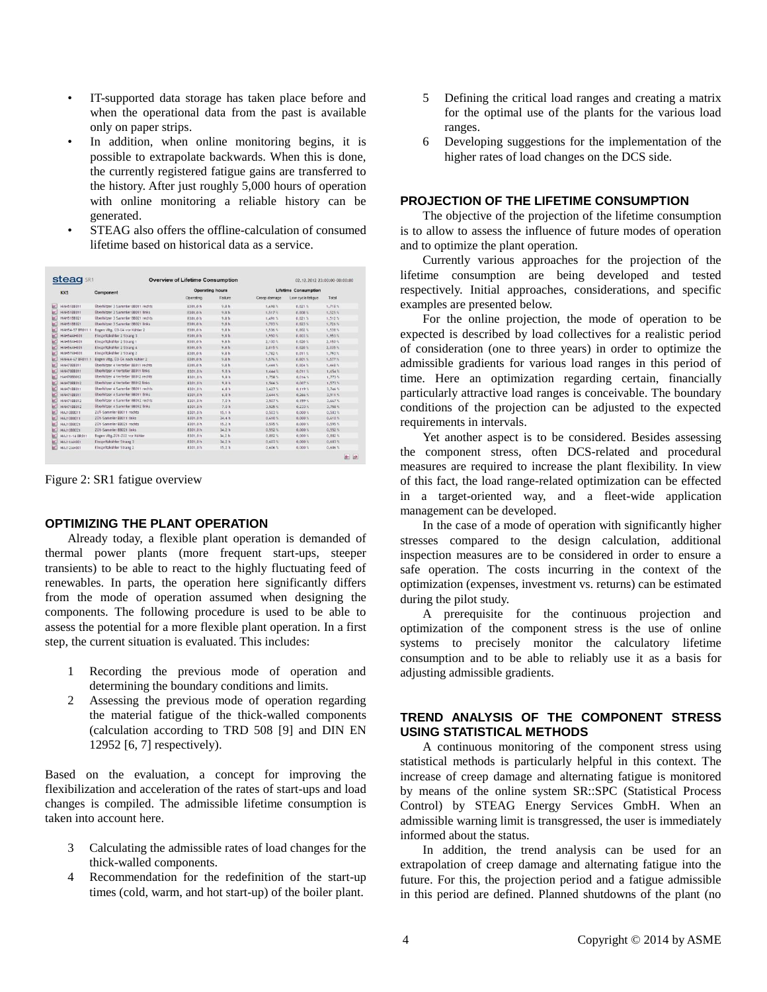- IT-supported data storage has taken place before and when the operational data from the past is available only on paper strips.
- In addition, when online monitoring begins, it is possible to extrapolate backwards. When this is done, the currently registered fatigue gains are transferred to the history. After just roughly 5,000 hours of operation with online monitoring a reliable history can be generated.
- STEAG also offers the offline-calculation of consumed lifetime based on historical data as a service.

| stead             | <b>Overview of Lifetime Consumption</b> |                        |                  | 02.12.2012 23:00:00-00:00:00 |                    |           |
|-------------------|-----------------------------------------|------------------------|------------------|------------------------------|--------------------|-----------|
| <b>KKS</b>        | Component                               | <b>Operating hours</b> |                  | <b>Lifetime Consumption</b>  |                    |           |
|                   |                                         | Operating              | Failure          | Creep damage                 | Low cycle fatioue  | Total     |
| HAH51B8011        | Überhitzer 3 Sammler BB011 rechts       | 8301.0 h               | 9.8h             | 1.698.1                      | $0.021$ %          | $1.718$ % |
| <b>HAH51BB011</b> | Überhitzer 3 Sammler BB011 links        | 8301.0 h               | 9.8h             | 1.517.5                      | 0.008 <sub>1</sub> | 1.525.5   |
| HAH5188021        | Überhitzer 3 Sammler BB021 rechts       | 8301.0 h               | 9.8h             | 1,491.5                      | 0.021.5            | 1.512.5   |
| <b>HAH51BB021</b> | Überhitzer 3 Sammler BB021 links        | 8301.0 h               | 9.8h             | 1.703.5                      | $0.023$ %          | $1.726$ % |
| HAH54-57 BR011 1  | Bogen Vite, U3-U4 vor Kühler 2          | 8301.0 h               | 9.8h             | $1.536$ %                    | $0.002$ %          | 1.538.5   |
| <b>HAH54AH001</b> | Einspritzkühler 2 Strang 3              | 8301.0h                | 9.8h             | 1,950%                       | 0.003%             | 1,953%    |
| <b>HAHSSAH001</b> | Einspritzkühler 2 Strang 1              | 8301.0 h               | 9.8h             | $2.130$ %                    | 0.020 <sub>5</sub> | $2.150$ % |
| <b>HAHS6AH001</b> | Einspritzkühler 2 Strang 4              | 8301.0h                | 9.8h             | 2.015.5                      | 0.020.5            | $2.035$ % |
| <b>HAH57AH001</b> | Einspritzkühler 2 Strang 2              | 8301.0 h               | 9.8h             | 1.7825                       | 0.0115             | 1.7935    |
| HAH64-67 RR011 1  | Bogen Vite, 03-04 nach Kühler 2         | 8301.0 h               | 9.8h             | 1.576%                       | 0.001.5            | 1.577%    |
| HAH7088011        | Überhitzer 4 Verteiler BB011 rechts     | 8301.0h                | 9.8h             | 1.4445                       | 0.004%             | 1.448.5   |
| <b>HAH70RR011</b> | Überhitzer 4 Verteiler BB011 links      | 8301.0 h               | 9.8h             | 1.6445                       | 0.011.5            | 1.654%    |
| <b>HAH70BB012</b> | Überhitzer 4 Verteiler RR012 rechts     | 8301.0 h               | 9.8h             | 1,758 %                      | 0.0165             | 1.773S    |
| <b>HAH70BB012</b> | Überhitzer 4 Verteiler RR012 links      | 8301.0 h               | 9.8h             | 1.5665                       | $0.007$ %          | 1.573S    |
| <b>HAH71RR011</b> | Überhitzer 4 Sammler BB011 rechts       | 8301.0 h               | 6.8h             | 3.627                        | 0.119.5            | 3.746%    |
| HAH71BB011        | Überhitzer 4 Sammler BB011 links        | 8301.0 h               | 6,8h             | $3.644$ %                    | $0.266$ %          | 3.9115    |
| <b>HAH71RR012</b> | Überhitzer 4 Sammler BB012 rechts       | 8301.0 h               | 7.0 <sub>h</sub> | 3.5075                       | 0.159.5            | $3.667$ % |
| <b>HAH71BB012</b> | Überhitzer 4 Sammler BB012 links        | 8301.0 h               | 7.0h             | $3.525$ %                    | 0.2238             | 1.7585    |
| HAJ108B011        | ZUİ-Sammler BB011 rechts                | 8301.0 h               | 15.1h            | $0.503$ %                    | 0.0005             | 0.5035    |
| <b>HAJ10RR011</b> | ZÜ1-Sammler BB011 links                 | 8301.0 h               | 34.4 h           | 0.610%                       | 0.0005             | 0.610%    |
| <b>HAJ10RR021</b> | 201-Sammler 88021 rechts                | 8301.0 h               | 15.2 h           | 0.595%                       | 0.0001             | $0.595$ % |
| HAJ10RR021        | 201-Sammler 88021 links                 | 8301.0 h               | 34.2 h           | 0.552.5                      | 0.0005             | 0.552.5   |
| HAJ11-14 BR011    | Bogen Vite, ZU1-ZU2 vor Kühler          | 8301.0 h               | 34.2h            | $0.882$ %                    | 0.0005             | 0.882%    |
| <b>HAJ11AH001</b> | Einspritzkühler Strang 3                | 8301.0 h               | 34.2 h           | 0.603%                       | 0.000 <sub>5</sub> | 0.6035    |
| HAJ12AH001        | Einspritzkühler Strang 2                | 8301.0 h               | 15.2h            | 0,606                        | 0.0005             | 0,606.5   |

Figure 2: SR1 fatigue overview

## **OPTIMIZING THE PLANT OPERATION**

Already today, a flexible plant operation is demanded of thermal power plants (more frequent start-ups, steeper transients) to be able to react to the highly fluctuating feed of renewables. In parts, the operation here significantly differs from the mode of operation assumed when designing the components. The following procedure is used to be able to assess the potential for a more flexible plant operation. In a first step, the current situation is evaluated. This includes:

- 1 Recording the previous mode of operation and determining the boundary conditions and limits.
- 2 Assessing the previous mode of operation regarding the material fatigue of the thick-walled components (calculation according to TRD 508 [9] and DIN EN 12952 [6, 7] respectively).

Based on the evaluation, a concept for improving the flexibilization and acceleration of the rates of start-ups and load changes is compiled. The admissible lifetime consumption is taken into account here.

- 3 Calculating the admissible rates of load changes for the thick-walled components.
- 4 Recommendation for the redefinition of the start-up times (cold, warm, and hot start-up) of the boiler plant.
- 5 Defining the critical load ranges and creating a matrix for the optimal use of the plants for the various load ranges.
- 6 Developing suggestions for the implementation of the higher rates of load changes on the DCS side.

## **PROJECTION OF THE LIFETIME CONSUMPTION**

The objective of the projection of the lifetime consumption is to allow to assess the influence of future modes of operation and to optimize the plant operation.

Currently various approaches for the projection of the lifetime consumption are being developed and tested respectively. Initial approaches, considerations, and specific examples are presented below.

For the online projection, the mode of operation to be expected is described by load collectives for a realistic period of consideration (one to three years) in order to optimize the admissible gradients for various load ranges in this period of time. Here an optimization regarding certain, financially particularly attractive load ranges is conceivable. The boundary conditions of the projection can be adjusted to the expected requirements in intervals.

Yet another aspect is to be considered. Besides assessing the component stress, often DCS-related and procedural measures are required to increase the plant flexibility. In view of this fact, the load range-related optimization can be effected in a target-oriented way, and a fleet-wide application management can be developed.

In the case of a mode of operation with significantly higher stresses compared to the design calculation, additional inspection measures are to be considered in order to ensure a safe operation. The costs incurring in the context of the optimization (expenses, investment vs. returns) can be estimated during the pilot study.

A prerequisite for the continuous projection and optimization of the component stress is the use of online systems to precisely monitor the calculatory lifetime consumption and to be able to reliably use it as a basis for adjusting admissible gradients.

# **TREND ANALYSIS OF THE COMPONENT STRESS USING STATISTICAL METHODS**

A continuous monitoring of the component stress using statistical methods is particularly helpful in this context. The increase of creep damage and alternating fatigue is monitored by means of the online system SR::SPC (Statistical Process Control) by STEAG Energy Services GmbH. When an admissible warning limit is transgressed, the user is immediately informed about the status.

In addition, the trend analysis can be used for an extrapolation of creep damage and alternating fatigue into the future. For this, the projection period and a fatigue admissible in this period are defined. Planned shutdowns of the plant (no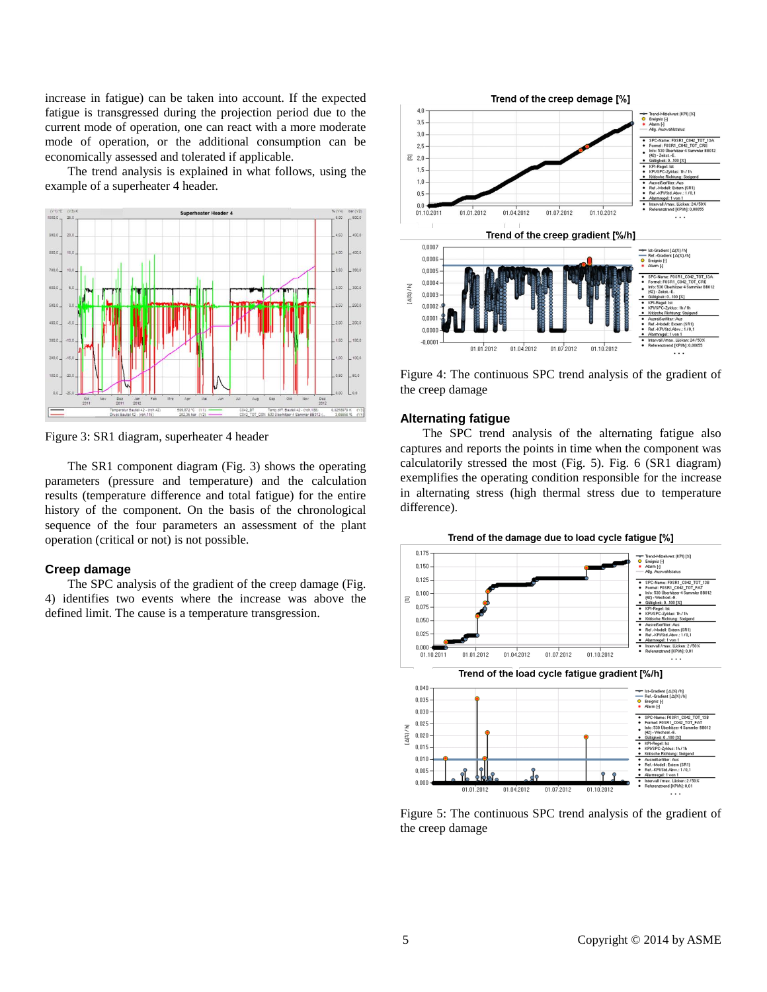increase in fatigue) can be taken into account. If the expected fatigue is transgressed during the projection period due to the current mode of operation, one can react with a more moderate mode of operation, or the additional consumption can be economically assessed and tolerated if applicable.

The trend analysis is explained in what follows, using the example of a superheater 4 header.



Figure 3: SR1 diagram, superheater 4 header

The SR1 component diagram (Fig. 3) shows the operating parameters (pressure and temperature) and the calculation results (temperature difference and total fatigue) for the entire history of the component. On the basis of the chronological sequence of the four parameters an assessment of the plant operation (critical or not) is not possible.

## **Creep damage**

The SPC analysis of the gradient of the creep damage (Fig. 4) identifies two events where the increase was above the defined limit. The cause is a temperature transgression.



Figure 4: The continuous SPC trend analysis of the gradient of the creep damage

#### **Alternating fatigue**

The SPC trend analysis of the alternating fatigue also captures and reports the points in time when the component was calculatorily stressed the most (Fig. 5). Fig. 6 (SR1 diagram) exemplifies the operating condition responsible for the increase in alternating stress (high thermal stress due to temperature difference).





Figure 5: The continuous SPC trend analysis of the gradient of the creep damage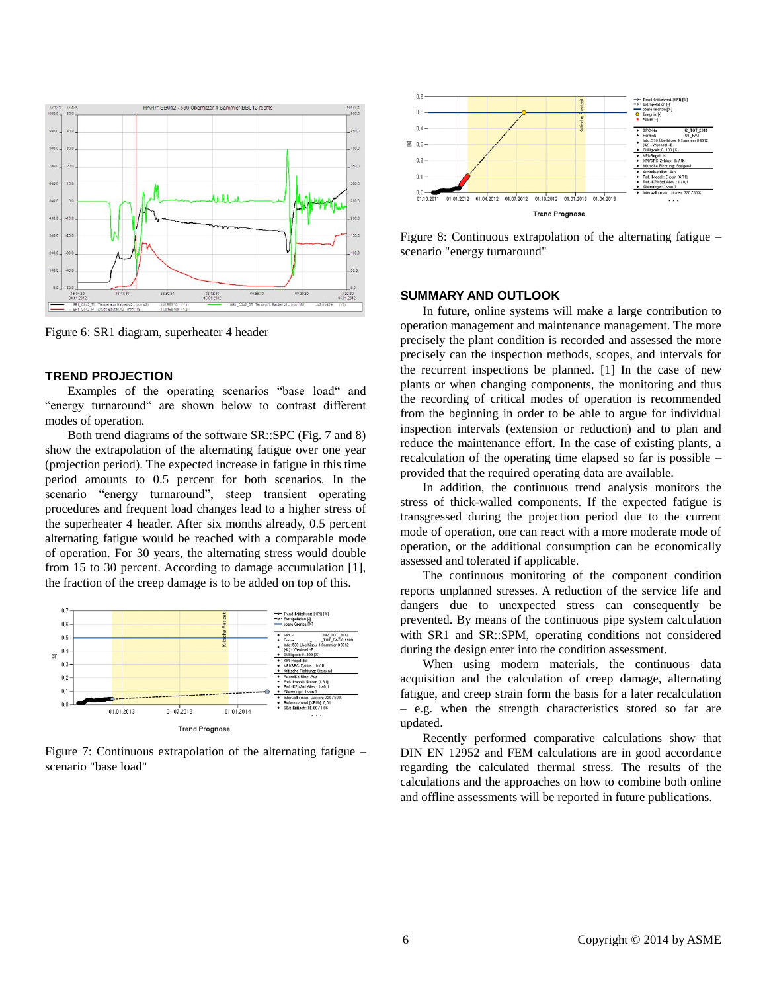

Figure 6: SR1 diagram, superheater 4 header

#### **TREND PROJECTION**

Examples of the operating scenarios "base load" and "energy turnaround" are shown below to contrast different modes of operation.

Both trend diagrams of the software SR::SPC (Fig. 7 and 8) show the extrapolation of the alternating fatigue over one year (projection period). The expected increase in fatigue in this time period amounts to 0.5 percent for both scenarios. In the scenario "energy turnaround", steep transient operating procedures and frequent load changes lead to a higher stress of the superheater 4 header. After six months already, 0.5 percent alternating fatigue would be reached with a comparable mode of operation. For 30 years, the alternating stress would double from 15 to 30 percent. According to damage accumulation [1], the fraction of the creep damage is to be added on top of this.



Figure 7: Continuous extrapolation of the alternating fatigue – scenario "base load"



Figure 8: Continuous extrapolation of the alternating fatigue – scenario "energy turnaround"

## **SUMMARY AND OUTLOOK**

In future, online systems will make a large contribution to operation management and maintenance management. The more precisely the plant condition is recorded and assessed the more precisely can the inspection methods, scopes, and intervals for the recurrent inspections be planned. [1] In the case of new plants or when changing components, the monitoring and thus the recording of critical modes of operation is recommended from the beginning in order to be able to argue for individual inspection intervals (extension or reduction) and to plan and reduce the maintenance effort. In the case of existing plants, a recalculation of the operating time elapsed so far is possible – provided that the required operating data are available.

In addition, the continuous trend analysis monitors the stress of thick-walled components. If the expected fatigue is transgressed during the projection period due to the current mode of operation, one can react with a more moderate mode of operation, or the additional consumption can be economically assessed and tolerated if applicable.

The continuous monitoring of the component condition reports unplanned stresses. A reduction of the service life and dangers due to unexpected stress can consequently be prevented. By means of the continuous pipe system calculation with SR1 and SR::SPM, operating conditions not considered during the design enter into the condition assessment.

When using modern materials, the continuous data acquisition and the calculation of creep damage, alternating fatigue, and creep strain form the basis for a later recalculation – e.g. when the strength characteristics stored so far are updated.

Recently performed comparative calculations show that DIN EN 12952 and FEM calculations are in good accordance regarding the calculated thermal stress. The results of the calculations and the approaches on how to combine both online and offline assessments will be reported in future publications.